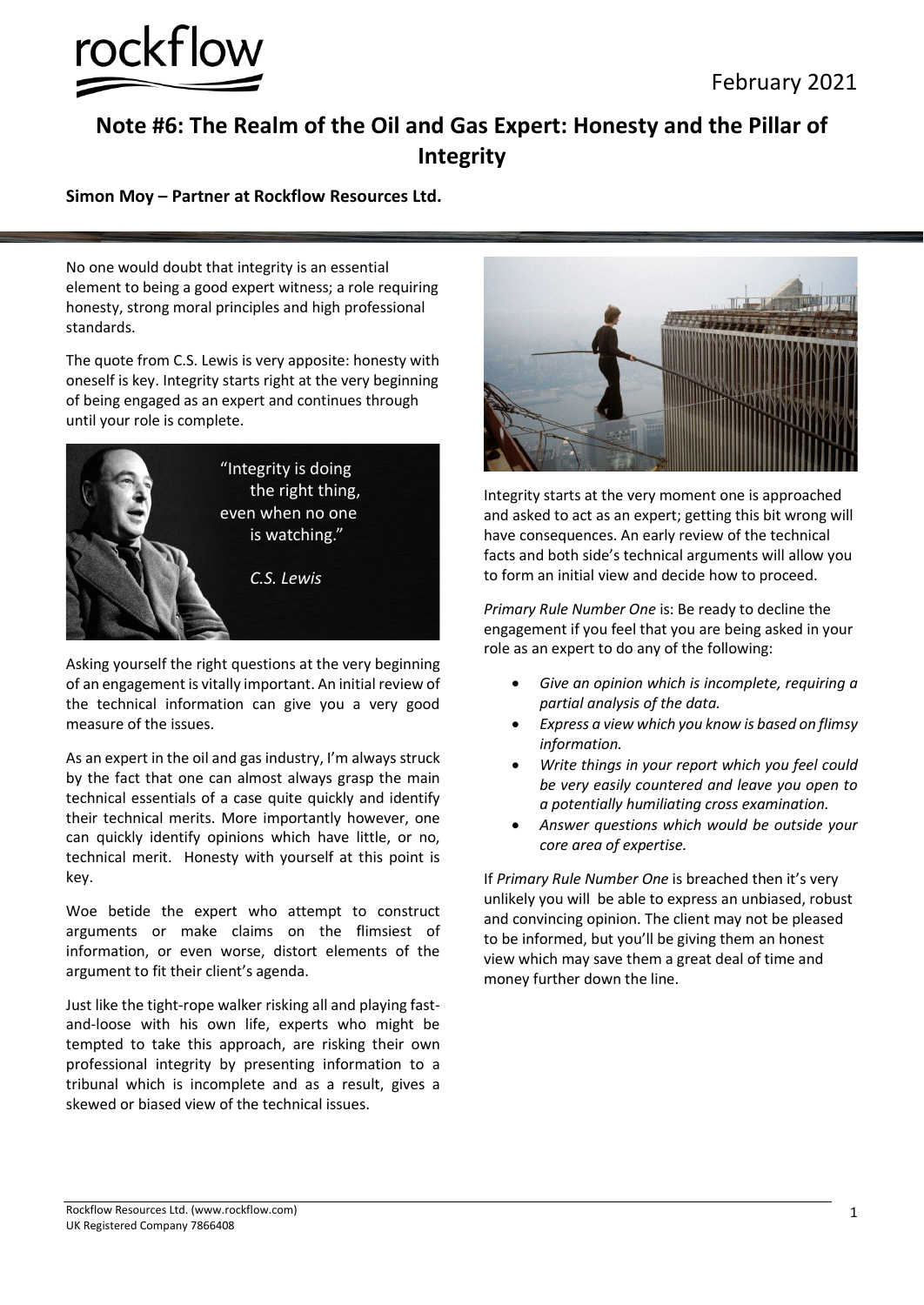

## **Note #6: The Realm of the Oil and Gas Expert: Honesty and the Pillar of Integrity**

## **Simon Moy – Partner at Rockflow Resources Ltd.**

No one would doubt that integrity is an essential element to being a good expert witness; a role requiring honesty, strong moral principles and high professional standards.

The quote from C.S. Lewis is very apposite: honesty with oneself is key. Integrity starts right at the very beginning of being engaged as an expert and continues through until your role is complete.



Asking yourself the right questions at the very beginning of an engagement is vitally important. An initial review of the technical information can give you a very good measure of the issues.

As an expert in the oil and gas industry, I'm always struck by the fact that one can almost always grasp the main technical essentials of a case quite quickly and identify their technical merits. More importantly however, one can quickly identify opinions which have little, or no, technical merit. Honesty with yourself at this point is key.

Woe betide the expert who attempt to construct arguments or make claims on the flimsiest of information, or even worse, distort elements of the argument to fit their client's agenda.

Just like the tight-rope walker risking all and playing fastand-loose with his own life, experts who might be tempted to take this approach, are risking their own professional integrity by presenting information to a tribunal which is incomplete and as a result, gives a skewed or biased view of the technical issues.



Integrity starts at the very moment one is approached and asked to act as an expert; getting this bit wrong will have consequences. An early review of the technical facts and both side's technical arguments will allow you to form an initial view and decide how to proceed.

*Primary Rule Number One* is: Be ready to decline the engagement if you feel that you are being asked in your role as an expert to do any of the following:

- *Give an opinion which is incomplete, requiring a partial analysis of the data.*
- *Express a view which you know is based on flimsy information.*
- *Write things in your report which you feel could be very easily countered and leave you open to a potentially humiliating cross examination.*
- *Answer questions which would be outside your core area of expertise.*

If *Primary Rule Number One* is breached then it's very unlikely you will be able to express an unbiased, robust and convincing opinion. The client may not be pleased to be informed, but you'll be giving them an honest view which may save them a great deal of time and money further down the line.

Rockflow Resources Ltd. (www.rockflow.com) UK Registered Company 7866408